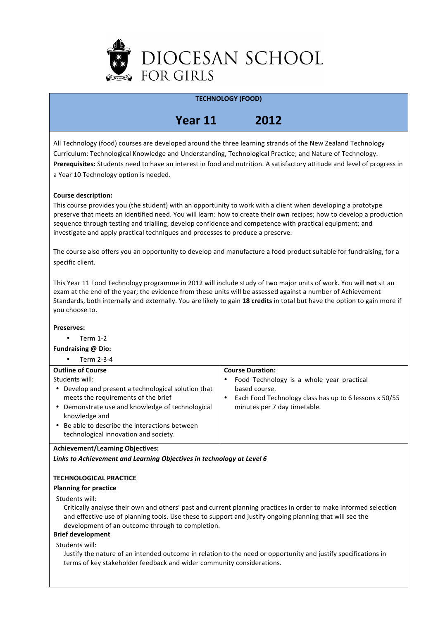

## **TECHNOLOGY (FOOD)**

# **Year\*11\* 2012**

All Technology (food) courses are developed around the three learning strands of the New Zealand Technology Curriculum: Technological Knowledge and Understanding, Technological Practice; and Nature of Technology. Prerequisites: Students need to have an interest in food and nutrition. A satisfactory attitude and level of progress in a Year 10 Technology option is needed.

## **Course description:**

This course provides you (the student) with an opportunity to work with a client when developing a prototype preserve that meets an identified need. You will learn: how to create their own recipes; how to develop a production sequence through testing and trialling; develop confidence and competence with practical equipment; and investigate and apply practical techniques and processes to produce a preserve.

The course also offers you an opportunity to develop and manufacture a food product suitable for fundraising, for a specific client.

This Year 11 Food Technology programme in 2012 will include study of two major units of work. You will not sit an exam at the end of the year; the evidence from these units will be assessed against a number of Achievement Standards, both internally and externally. You are likely to gain 18 credits in total but have the option to gain more if you choose to.

#### **Preserves:**

 $\cdot$  Term 1-2

 $\bullet$  Term 2-3-4

**Fundraising @ Dio:** 

| <b>Outline of Course</b>                                                                                                                                                                                                                                                                | <b>Course Duration:</b>                                                                                                                              |
|-----------------------------------------------------------------------------------------------------------------------------------------------------------------------------------------------------------------------------------------------------------------------------------------|------------------------------------------------------------------------------------------------------------------------------------------------------|
| Students will:<br>Develop and present a technological solution that<br>$\bullet$<br>meets the requirements of the brief<br>• Demonstrate use and knowledge of technological<br>knowledge and<br>• Be able to describe the interactions between<br>technological innovation and society. | Food Technology is a whole year practical<br>based course.<br>Each Food Technology class has up to 6 lessons x 50/55<br>minutes per 7 day timetable. |

## **Achievement/Learning\*Objectives:**

**Links to Achievement and Learning Objectives in technology at Level 6** 

## **TECHNOLOGICAL PRACTICE**

## **Planning for practice**

#### Students will:

Critically analyse their own and others' past and current planning practices in order to make informed selection and effective use of planning tools. Use these to support and justify ongoing planning that will see the development of an outcome through to completion.

## **Brief development**

Students will:

Justify the nature of an intended outcome in relation to the need or opportunity and justify specifications in terms of key stakeholder feedback and wider community considerations.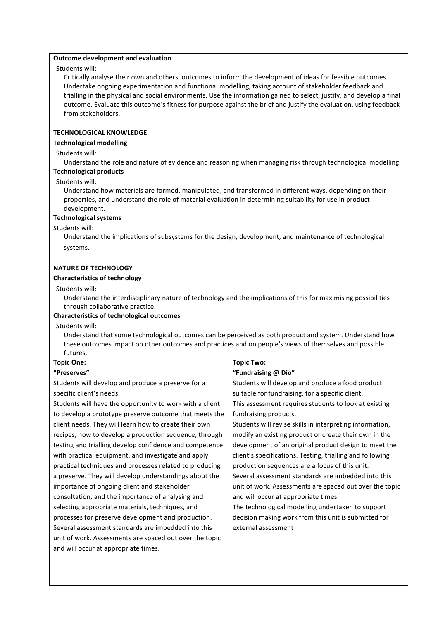#### **Outcome development and evaluation**

Students will:

Critically analyse their own and others' outcomes to inform the development of ideas for feasible outcomes. Undertake ongoing experimentation and functional modelling, taking account of stakeholder feedback and trialling in the physical and social environments. Use the information gained to select, justify, and develop a final outcome. Evaluate this outcome's fitness for purpose against the brief and justify the evaluation, using feedback from stakeholders.

## **TECHNOLOGICAL KNOWLEDGE**

## **Technological modelling**

#### Students will:

Understand the role and nature of evidence and reasoning when managing risk through technological modelling.

# **Technological products**

## Students will:

Understand how materials are formed, manipulated, and transformed in different ways, depending on their properties, and understand the role of material evaluation in determining suitability for use in product development.

#### **Technological systems**

#### Students will:

Understand the implications of subsystems for the design, development, and maintenance of technological systems.

#### **NATURE OF TECHNOLOGY**

#### **Characteristics of technology**

Students will:

Understand the interdisciplinary nature of technology and the implications of this for maximising possibilities through collaborative practice.

#### **Characteristics of technological outcomes**

Students will:

**Topic\*One:**

Understand that some technological outcomes can be perceived as both product and system. Understand how these outcomes impact on other outcomes and practices and on people's views of themselves and possible futures.

**Topic Two:** 

| "Preserves"                                              | "Fundraising @ Dio"                                       |  |  |
|----------------------------------------------------------|-----------------------------------------------------------|--|--|
| Students will develop and produce a preserve for a       | Students will develop and produce a food product          |  |  |
| specific client's needs.                                 | suitable for fundraising, for a specific client.          |  |  |
| Students will have the opportunity to work with a client | This assessment requires students to look at existing     |  |  |
| to develop a prototype preserve outcome that meets the   | fundraising products.                                     |  |  |
| client needs. They will learn how to create their own    | Students will revise skills in interpreting information,  |  |  |
| recipes, how to develop a production sequence, through   | modify an existing product or create their own in the     |  |  |
| testing and trialling develop confidence and competence  | development of an original product design to meet the     |  |  |
| with practical equipment, and investigate and apply      | client's specifications. Testing, trialling and following |  |  |
| practical techniques and processes related to producing  | production sequences are a focus of this unit.            |  |  |
| a preserve. They will develop understandings about the   | Several assessment standards are imbedded into this       |  |  |
| importance of ongoing client and stakeholder             | unit of work. Assessments are spaced out over the topic   |  |  |
| consultation, and the importance of analysing and        | and will occur at appropriate times.                      |  |  |
| selecting appropriate materials, techniques, and         | The technological modelling undertaken to support         |  |  |
| processes for preserve development and production.       | decision making work from this unit is submitted for      |  |  |
| Several assessment standards are imbedded into this      | external assessment                                       |  |  |
| unit of work. Assessments are spaced out over the topic  |                                                           |  |  |
| and will occur at appropriate times.                     |                                                           |  |  |
|                                                          |                                                           |  |  |
|                                                          |                                                           |  |  |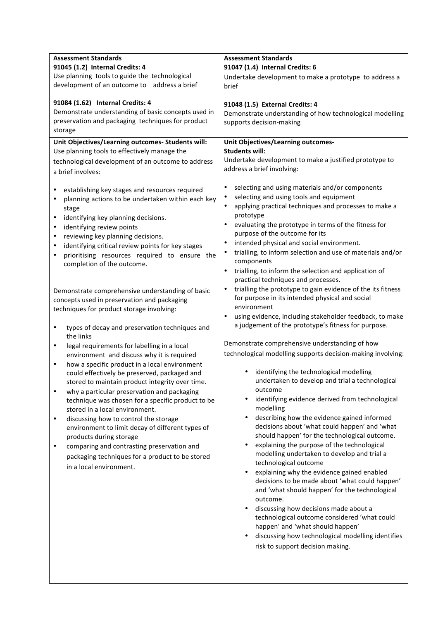| <b>Assessment Standards</b><br>91045 (1.2) Internal Credits: 4<br>Use planning tools to guide the technological<br>development of an outcome to address a brief                                                                                                                                                                                                                                                                                                                                                                                                                                                                                                                                                       | <b>Assessment Standards</b><br>91047 (1.4) Internal Credits: 6<br>Undertake development to make a prototype to address a<br>brief                                                                                                                                                                                                                                                                                                                                                                                                                                                                                                                                                                                                                                                                                                                                                                                                                                                         |  |  |
|-----------------------------------------------------------------------------------------------------------------------------------------------------------------------------------------------------------------------------------------------------------------------------------------------------------------------------------------------------------------------------------------------------------------------------------------------------------------------------------------------------------------------------------------------------------------------------------------------------------------------------------------------------------------------------------------------------------------------|-------------------------------------------------------------------------------------------------------------------------------------------------------------------------------------------------------------------------------------------------------------------------------------------------------------------------------------------------------------------------------------------------------------------------------------------------------------------------------------------------------------------------------------------------------------------------------------------------------------------------------------------------------------------------------------------------------------------------------------------------------------------------------------------------------------------------------------------------------------------------------------------------------------------------------------------------------------------------------------------|--|--|
| 91084 (1.62) Internal Credits: 4<br>Demonstrate understanding of basic concepts used in<br>preservation and packaging techniques for product<br>storage                                                                                                                                                                                                                                                                                                                                                                                                                                                                                                                                                               | 91048 (1.5) External Credits: 4<br>Demonstrate understanding of how technological modelling<br>supports decision-making                                                                                                                                                                                                                                                                                                                                                                                                                                                                                                                                                                                                                                                                                                                                                                                                                                                                   |  |  |
| Unit Objectives/Learning outcomes- Students will:<br>Use planning tools to effectively manage the<br>technological development of an outcome to address<br>a brief involves:<br>establishing key stages and resources required<br>٠                                                                                                                                                                                                                                                                                                                                                                                                                                                                                   | Unit Objectives/Learning outcomes-<br><b>Students will:</b><br>Undertake development to make a justified prototype to<br>address a brief involving:<br>selecting and using materials and/or components<br>٠<br>selecting and using tools and equipment<br>$\bullet$                                                                                                                                                                                                                                                                                                                                                                                                                                                                                                                                                                                                                                                                                                                       |  |  |
| planning actions to be undertaken within each key<br>stage<br>$\bullet$<br>identifying key planning decisions.<br>identifying review points<br>$\bullet$<br>reviewing key planning decisions.<br>$\bullet$<br>identifying critical review points for key stages<br>$\bullet$<br>prioritising resources required to ensure the<br>٠<br>completion of the outcome.                                                                                                                                                                                                                                                                                                                                                      | applying practical techniques and processes to make a<br>$\bullet$<br>prototype<br>evaluating the prototype in terms of the fitness for<br>$\bullet$<br>purpose of the outcome for its<br>intended physical and social environment.<br>$\bullet$<br>trialling, to inform selection and use of materials and/or<br>components<br>trialling, to inform the selection and application of<br>$\bullet$<br>practical techniques and processes.                                                                                                                                                                                                                                                                                                                                                                                                                                                                                                                                                 |  |  |
| Demonstrate comprehensive understanding of basic<br>concepts used in preservation and packaging<br>techniques for product storage involving:<br>types of decay and preservation techniques and<br>$\bullet$                                                                                                                                                                                                                                                                                                                                                                                                                                                                                                           | trialling the prototype to gain evidence of the its fitness<br>$\bullet$<br>for purpose in its intended physical and social<br>environment<br>using evidence, including stakeholder feedback, to make<br>$\bullet$<br>a judgement of the prototype's fitness for purpose.                                                                                                                                                                                                                                                                                                                                                                                                                                                                                                                                                                                                                                                                                                                 |  |  |
| the links<br>legal requirements for labelling in a local<br>$\bullet$<br>environment and discuss why it is required<br>how a specific product in a local environment<br>$\bullet$<br>could effectively be preserved, packaged and<br>stored to maintain product integrity over time.<br>why a particular preservation and packaging<br>$\bullet$<br>technique was chosen for a specific product to be<br>stored in a local environment.<br>discussing how to control the storage<br>$\bullet$<br>environment to limit decay of different types of<br>products during storage<br>comparing and contrasting preservation and<br>$\bullet$<br>packaging techniques for a product to be stored<br>in a local environment. | Demonstrate comprehensive understanding of how<br>technological modelling supports decision-making involving:<br>identifying the technological modelling<br>undertaken to develop and trial a technological<br>outcome<br>identifying evidence derived from technological<br>$\bullet$<br>modelling<br>describing how the evidence gained informed<br>decisions about 'what could happen' and 'what<br>should happen' for the technological outcome.<br>explaining the purpose of the technological<br>modelling undertaken to develop and trial a<br>technological outcome<br>explaining why the evidence gained enabled<br>$\bullet$<br>decisions to be made about 'what could happen'<br>and 'what should happen' for the technological<br>outcome.<br>discussing how decisions made about a<br>technological outcome considered 'what could<br>happen' and 'what should happen'<br>discussing how technological modelling identifies<br>$\bullet$<br>risk to support decision making. |  |  |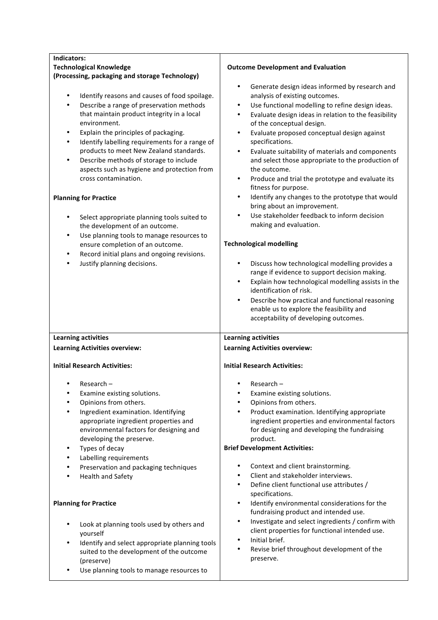| Indicators:                                                                                                                                                                                                                                                                                                                                                                                                                                                                                                                                                                                                                                                                                                                                                                                |                                                                                                                                                                                                                                                                                                                                                                                                                                                                                                                                                                                                                                                                                                                                                                                                                                                                                                                |  |  |  |
|--------------------------------------------------------------------------------------------------------------------------------------------------------------------------------------------------------------------------------------------------------------------------------------------------------------------------------------------------------------------------------------------------------------------------------------------------------------------------------------------------------------------------------------------------------------------------------------------------------------------------------------------------------------------------------------------------------------------------------------------------------------------------------------------|----------------------------------------------------------------------------------------------------------------------------------------------------------------------------------------------------------------------------------------------------------------------------------------------------------------------------------------------------------------------------------------------------------------------------------------------------------------------------------------------------------------------------------------------------------------------------------------------------------------------------------------------------------------------------------------------------------------------------------------------------------------------------------------------------------------------------------------------------------------------------------------------------------------|--|--|--|
| <b>Technological Knowledge</b>                                                                                                                                                                                                                                                                                                                                                                                                                                                                                                                                                                                                                                                                                                                                                             | <b>Outcome Development and Evaluation</b>                                                                                                                                                                                                                                                                                                                                                                                                                                                                                                                                                                                                                                                                                                                                                                                                                                                                      |  |  |  |
| (Processing, packaging and storage Technology)                                                                                                                                                                                                                                                                                                                                                                                                                                                                                                                                                                                                                                                                                                                                             |                                                                                                                                                                                                                                                                                                                                                                                                                                                                                                                                                                                                                                                                                                                                                                                                                                                                                                                |  |  |  |
| Identify reasons and causes of food spoilage.<br>$\bullet$<br>Describe a range of preservation methods<br>$\bullet$<br>that maintain product integrity in a local<br>environment.<br>Explain the principles of packaging.<br>$\bullet$<br>Identify labelling requirements for a range of<br>٠<br>products to meet New Zealand standards.<br>Describe methods of storage to include<br>$\bullet$<br>aspects such as hygiene and protection from<br>cross contamination.<br><b>Planning for Practice</b><br>Select appropriate planning tools suited to<br>٠<br>the development of an outcome.<br>Use planning tools to manage resources to<br>$\bullet$<br>ensure completion of an outcome.<br>Record initial plans and ongoing revisions.<br>$\bullet$<br>Justify planning decisions.<br>٠ | Generate design ideas informed by research and<br>$\bullet$<br>analysis of existing outcomes.<br>Use functional modelling to refine design ideas.<br>$\bullet$<br>Evaluate design ideas in relation to the feasibility<br>$\bullet$<br>of the conceptual design.<br>Evaluate proposed conceptual design against<br>$\bullet$<br>specifications.<br>Evaluate suitability of materials and components<br>$\bullet$<br>and select those appropriate to the production of<br>the outcome.<br>Produce and trial the prototype and evaluate its<br>$\bullet$<br>fitness for purpose.<br>Identify any changes to the prototype that would<br>$\bullet$<br>bring about an improvement.<br>Use stakeholder feedback to inform decision<br>٠<br>making and evaluation.<br><b>Technological modelling</b><br>Discuss how technological modelling provides a<br>$\bullet$<br>range if evidence to support decision making. |  |  |  |
|                                                                                                                                                                                                                                                                                                                                                                                                                                                                                                                                                                                                                                                                                                                                                                                            | Explain how technological modelling assists in the                                                                                                                                                                                                                                                                                                                                                                                                                                                                                                                                                                                                                                                                                                                                                                                                                                                             |  |  |  |
|                                                                                                                                                                                                                                                                                                                                                                                                                                                                                                                                                                                                                                                                                                                                                                                            | identification of risk.                                                                                                                                                                                                                                                                                                                                                                                                                                                                                                                                                                                                                                                                                                                                                                                                                                                                                        |  |  |  |
|                                                                                                                                                                                                                                                                                                                                                                                                                                                                                                                                                                                                                                                                                                                                                                                            | Describe how practical and functional reasoning<br>$\bullet$<br>enable us to explore the feasibility and                                                                                                                                                                                                                                                                                                                                                                                                                                                                                                                                                                                                                                                                                                                                                                                                       |  |  |  |
|                                                                                                                                                                                                                                                                                                                                                                                                                                                                                                                                                                                                                                                                                                                                                                                            | acceptability of developing outcomes.                                                                                                                                                                                                                                                                                                                                                                                                                                                                                                                                                                                                                                                                                                                                                                                                                                                                          |  |  |  |
|                                                                                                                                                                                                                                                                                                                                                                                                                                                                                                                                                                                                                                                                                                                                                                                            |                                                                                                                                                                                                                                                                                                                                                                                                                                                                                                                                                                                                                                                                                                                                                                                                                                                                                                                |  |  |  |
| <b>Learning activities</b>                                                                                                                                                                                                                                                                                                                                                                                                                                                                                                                                                                                                                                                                                                                                                                 | <b>Learning activities</b>                                                                                                                                                                                                                                                                                                                                                                                                                                                                                                                                                                                                                                                                                                                                                                                                                                                                                     |  |  |  |
|                                                                                                                                                                                                                                                                                                                                                                                                                                                                                                                                                                                                                                                                                                                                                                                            |                                                                                                                                                                                                                                                                                                                                                                                                                                                                                                                                                                                                                                                                                                                                                                                                                                                                                                                |  |  |  |
| <b>Learning Activities overview:</b>                                                                                                                                                                                                                                                                                                                                                                                                                                                                                                                                                                                                                                                                                                                                                       | <b>Learning Activities overview:</b>                                                                                                                                                                                                                                                                                                                                                                                                                                                                                                                                                                                                                                                                                                                                                                                                                                                                           |  |  |  |
| <b>Initial Research Activities:</b>                                                                                                                                                                                                                                                                                                                                                                                                                                                                                                                                                                                                                                                                                                                                                        | <b>Initial Research Activities:</b>                                                                                                                                                                                                                                                                                                                                                                                                                                                                                                                                                                                                                                                                                                                                                                                                                                                                            |  |  |  |
| Research-<br>Examine existing solutions.<br>Opinions from others.<br>Ingredient examination. Identifying<br>٠<br>appropriate ingredient properties and<br>environmental factors for designing and<br>developing the preserve.<br>Types of decay<br>$\bullet$<br>٠                                                                                                                                                                                                                                                                                                                                                                                                                                                                                                                          | Research-<br>$\bullet$<br>Examine existing solutions.<br>٠<br>Opinions from others.<br>$\bullet$<br>Product examination. Identifying appropriate<br>$\bullet$<br>ingredient properties and environmental factors<br>for designing and developing the fundraising<br>product.<br><b>Brief Development Activities:</b>                                                                                                                                                                                                                                                                                                                                                                                                                                                                                                                                                                                           |  |  |  |
| Labelling requirements<br>٠                                                                                                                                                                                                                                                                                                                                                                                                                                                                                                                                                                                                                                                                                                                                                                | $\bullet$                                                                                                                                                                                                                                                                                                                                                                                                                                                                                                                                                                                                                                                                                                                                                                                                                                                                                                      |  |  |  |
| Preservation and packaging techniques                                                                                                                                                                                                                                                                                                                                                                                                                                                                                                                                                                                                                                                                                                                                                      | Context and client brainstorming.<br>Client and stakeholder interviews.<br>$\bullet$                                                                                                                                                                                                                                                                                                                                                                                                                                                                                                                                                                                                                                                                                                                                                                                                                           |  |  |  |
| <b>Health and Safety</b>                                                                                                                                                                                                                                                                                                                                                                                                                                                                                                                                                                                                                                                                                                                                                                   | Define client functional use attributes /<br>$\bullet$                                                                                                                                                                                                                                                                                                                                                                                                                                                                                                                                                                                                                                                                                                                                                                                                                                                         |  |  |  |
| <b>Planning for Practice</b>                                                                                                                                                                                                                                                                                                                                                                                                                                                                                                                                                                                                                                                                                                                                                               | specifications.<br>Identify environmental considerations for the<br>$\bullet$<br>fundraising product and intended use.                                                                                                                                                                                                                                                                                                                                                                                                                                                                                                                                                                                                                                                                                                                                                                                         |  |  |  |
| Look at planning tools used by others and<br>yourself                                                                                                                                                                                                                                                                                                                                                                                                                                                                                                                                                                                                                                                                                                                                      | Investigate and select ingredients / confirm with<br>$\bullet$<br>client properties for functional intended use.                                                                                                                                                                                                                                                                                                                                                                                                                                                                                                                                                                                                                                                                                                                                                                                               |  |  |  |
| Identify and select appropriate planning tools<br>$\bullet$<br>suited to the development of the outcome<br>(preserve)<br>Use planning tools to manage resources to                                                                                                                                                                                                                                                                                                                                                                                                                                                                                                                                                                                                                         | Initial brief.<br>$\bullet$<br>Revise brief throughout development of the<br>$\bullet$<br>preserve.                                                                                                                                                                                                                                                                                                                                                                                                                                                                                                                                                                                                                                                                                                                                                                                                            |  |  |  |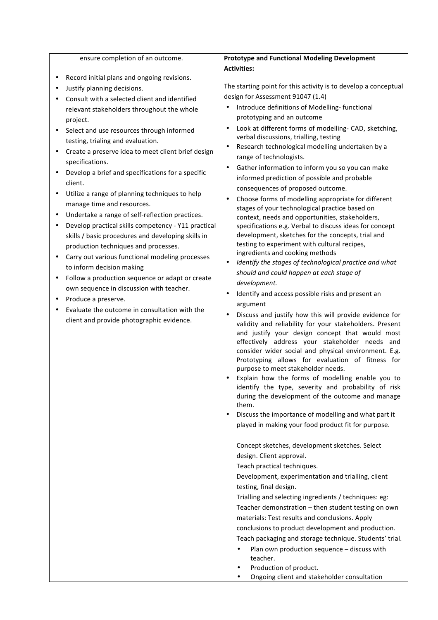| ensure completion of an outcome.                                               | <b>Prototype and Functional Modeling Development</b>                                                                                                                                                                                                                                                                                                                                                                                                                                                                                                                                                                                                                                                                                                                                                                                                                                                                                                                                                                                                                                                                                            |  |  |  |
|--------------------------------------------------------------------------------|-------------------------------------------------------------------------------------------------------------------------------------------------------------------------------------------------------------------------------------------------------------------------------------------------------------------------------------------------------------------------------------------------------------------------------------------------------------------------------------------------------------------------------------------------------------------------------------------------------------------------------------------------------------------------------------------------------------------------------------------------------------------------------------------------------------------------------------------------------------------------------------------------------------------------------------------------------------------------------------------------------------------------------------------------------------------------------------------------------------------------------------------------|--|--|--|
|                                                                                | <b>Activities:</b>                                                                                                                                                                                                                                                                                                                                                                                                                                                                                                                                                                                                                                                                                                                                                                                                                                                                                                                                                                                                                                                                                                                              |  |  |  |
| Record initial plans and ongoing revisions.                                    | The starting point for this activity is to develop a conceptual                                                                                                                                                                                                                                                                                                                                                                                                                                                                                                                                                                                                                                                                                                                                                                                                                                                                                                                                                                                                                                                                                 |  |  |  |
| Justify planning decisions.                                                    | design for Assessment 91047 (1.4)                                                                                                                                                                                                                                                                                                                                                                                                                                                                                                                                                                                                                                                                                                                                                                                                                                                                                                                                                                                                                                                                                                               |  |  |  |
| Consult with a selected client and identified                                  | Introduce definitions of Modelling-functional                                                                                                                                                                                                                                                                                                                                                                                                                                                                                                                                                                                                                                                                                                                                                                                                                                                                                                                                                                                                                                                                                                   |  |  |  |
| relevant stakeholders throughout the whole                                     | prototyping and an outcome                                                                                                                                                                                                                                                                                                                                                                                                                                                                                                                                                                                                                                                                                                                                                                                                                                                                                                                                                                                                                                                                                                                      |  |  |  |
| project.                                                                       | Look at different forms of modelling- CAD, sketching,                                                                                                                                                                                                                                                                                                                                                                                                                                                                                                                                                                                                                                                                                                                                                                                                                                                                                                                                                                                                                                                                                           |  |  |  |
| Select and use resources through informed<br>testing, trialing and evaluation. | verbal discussions, trialling, testing                                                                                                                                                                                                                                                                                                                                                                                                                                                                                                                                                                                                                                                                                                                                                                                                                                                                                                                                                                                                                                                                                                          |  |  |  |
| Create a preserve idea to meet client brief design                             | Research technological modelling undertaken by a                                                                                                                                                                                                                                                                                                                                                                                                                                                                                                                                                                                                                                                                                                                                                                                                                                                                                                                                                                                                                                                                                                |  |  |  |
| specifications.                                                                | range of technologists.                                                                                                                                                                                                                                                                                                                                                                                                                                                                                                                                                                                                                                                                                                                                                                                                                                                                                                                                                                                                                                                                                                                         |  |  |  |
| Develop a brief and specifications for a specific                              | Gather information to inform you so you can make<br>$\bullet$                                                                                                                                                                                                                                                                                                                                                                                                                                                                                                                                                                                                                                                                                                                                                                                                                                                                                                                                                                                                                                                                                   |  |  |  |
| client.                                                                        | informed prediction of possible and probable                                                                                                                                                                                                                                                                                                                                                                                                                                                                                                                                                                                                                                                                                                                                                                                                                                                                                                                                                                                                                                                                                                    |  |  |  |
| Utilize a range of planning techniques to help<br>٠                            | consequences of proposed outcome.                                                                                                                                                                                                                                                                                                                                                                                                                                                                                                                                                                                                                                                                                                                                                                                                                                                                                                                                                                                                                                                                                                               |  |  |  |
| manage time and resources.                                                     | Choose forms of modelling appropriate for different                                                                                                                                                                                                                                                                                                                                                                                                                                                                                                                                                                                                                                                                                                                                                                                                                                                                                                                                                                                                                                                                                             |  |  |  |
| Undertake a range of self-reflection practices.                                | stages of your technological practice based on                                                                                                                                                                                                                                                                                                                                                                                                                                                                                                                                                                                                                                                                                                                                                                                                                                                                                                                                                                                                                                                                                                  |  |  |  |
| Develop practical skills competency - Y11 practical                            | context, needs and opportunities, stakeholders,<br>specifications e.g. Verbal to discuss ideas for concept                                                                                                                                                                                                                                                                                                                                                                                                                                                                                                                                                                                                                                                                                                                                                                                                                                                                                                                                                                                                                                      |  |  |  |
| skills / basic procedures and developing skills in                             | development, sketches for the concepts, trial and                                                                                                                                                                                                                                                                                                                                                                                                                                                                                                                                                                                                                                                                                                                                                                                                                                                                                                                                                                                                                                                                                               |  |  |  |
| production techniques and processes.                                           | testing to experiment with cultural recipes,                                                                                                                                                                                                                                                                                                                                                                                                                                                                                                                                                                                                                                                                                                                                                                                                                                                                                                                                                                                                                                                                                                    |  |  |  |
| Carry out various functional modeling processes                                | ingredients and cooking methods                                                                                                                                                                                                                                                                                                                                                                                                                                                                                                                                                                                                                                                                                                                                                                                                                                                                                                                                                                                                                                                                                                                 |  |  |  |
| to inform decision making                                                      | Identify the stages of technological practice and what                                                                                                                                                                                                                                                                                                                                                                                                                                                                                                                                                                                                                                                                                                                                                                                                                                                                                                                                                                                                                                                                                          |  |  |  |
| Follow a production sequence or adapt or create<br>٠                           | should and could happen at each stage of                                                                                                                                                                                                                                                                                                                                                                                                                                                                                                                                                                                                                                                                                                                                                                                                                                                                                                                                                                                                                                                                                                        |  |  |  |
| own sequence in discussion with teacher.                                       | development.                                                                                                                                                                                                                                                                                                                                                                                                                                                                                                                                                                                                                                                                                                                                                                                                                                                                                                                                                                                                                                                                                                                                    |  |  |  |
| Produce a preserve.                                                            | Identify and access possible risks and present an                                                                                                                                                                                                                                                                                                                                                                                                                                                                                                                                                                                                                                                                                                                                                                                                                                                                                                                                                                                                                                                                                               |  |  |  |
| Evaluate the outcome in consultation with the                                  | argument                                                                                                                                                                                                                                                                                                                                                                                                                                                                                                                                                                                                                                                                                                                                                                                                                                                                                                                                                                                                                                                                                                                                        |  |  |  |
| client and provide photographic evidence.                                      | Discuss and justify how this will provide evidence for<br>validity and reliability for your stakeholders. Present<br>and justify your design concept that would most<br>effectively address your stakeholder needs and<br>consider wider social and physical environment. E.g.<br>Prototyping allows for evaluation of fitness for<br>purpose to meet stakeholder needs.<br>Explain how the forms of modelling enable you to<br>identify the type, severity and probability of risk<br>during the development of the outcome and manage<br>them.<br>Discuss the importance of modelling and what part it<br>played in making your food product fit for purpose.<br>Concept sketches, development sketches. Select<br>design. Client approval.<br>Teach practical techniques.<br>Development, experimentation and trialling, client<br>testing, final design.<br>Trialling and selecting ingredients / techniques: eg:<br>Teacher demonstration - then student testing on own<br>materials: Test results and conclusions. Apply<br>conclusions to product development and production.<br>Teach packaging and storage technique. Students' trial. |  |  |  |
|                                                                                | Plan own production sequence - discuss with<br>teacher.                                                                                                                                                                                                                                                                                                                                                                                                                                                                                                                                                                                                                                                                                                                                                                                                                                                                                                                                                                                                                                                                                         |  |  |  |
|                                                                                | Production of product.                                                                                                                                                                                                                                                                                                                                                                                                                                                                                                                                                                                                                                                                                                                                                                                                                                                                                                                                                                                                                                                                                                                          |  |  |  |
|                                                                                | Ongoing client and stakeholder consultation                                                                                                                                                                                                                                                                                                                                                                                                                                                                                                                                                                                                                                                                                                                                                                                                                                                                                                                                                                                                                                                                                                     |  |  |  |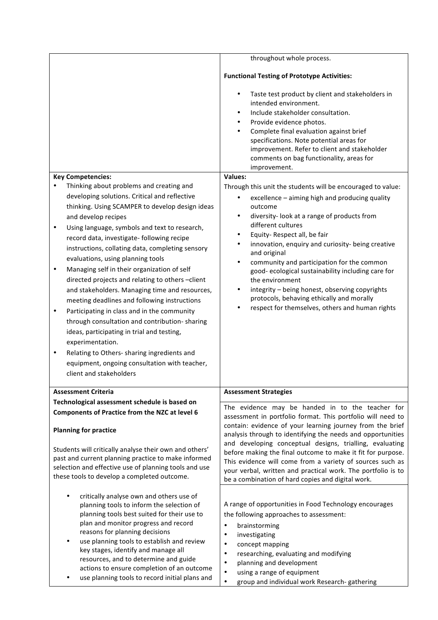|                                                                                              | throughout whole process.                                                                                                 |  |  |  |
|----------------------------------------------------------------------------------------------|---------------------------------------------------------------------------------------------------------------------------|--|--|--|
|                                                                                              |                                                                                                                           |  |  |  |
|                                                                                              | <b>Functional Testing of Prototype Activities:</b>                                                                        |  |  |  |
|                                                                                              | Taste test product by client and stakeholders in<br>intended environment.<br>Include stakeholder consultation.<br>٠       |  |  |  |
|                                                                                              | Provide evidence photos.<br>$\bullet$                                                                                     |  |  |  |
|                                                                                              | Complete final evaluation against brief<br>٠                                                                              |  |  |  |
|                                                                                              | specifications. Note potential areas for                                                                                  |  |  |  |
|                                                                                              | improvement. Refer to client and stakeholder<br>comments on bag functionality, areas for                                  |  |  |  |
|                                                                                              | improvement.                                                                                                              |  |  |  |
| <b>Key Competencies:</b>                                                                     | <b>Values:</b>                                                                                                            |  |  |  |
| Thinking about problems and creating and                                                     | Through this unit the students will be encouraged to value:                                                               |  |  |  |
| developing solutions. Critical and reflective                                                | excellence - aiming high and producing quality<br>٠                                                                       |  |  |  |
| thinking. Using SCAMPER to develop design ideas                                              | outcome                                                                                                                   |  |  |  |
| and develop recipes                                                                          | diversity-look at a range of products from<br>٠                                                                           |  |  |  |
| Using language, symbols and text to research,<br>٠                                           | different cultures                                                                                                        |  |  |  |
| record data, investigate- following recipe                                                   | Equity-Respect all, be fair<br>$\bullet$<br>innovation, enquiry and curiosity- being creative<br>٠                        |  |  |  |
| instructions, collating data, completing sensory                                             | and original                                                                                                              |  |  |  |
| evaluations, using planning tools                                                            | community and participation for the common                                                                                |  |  |  |
| Managing self in their organization of self<br>$\bullet$                                     | good-ecological sustainability including care for                                                                         |  |  |  |
| directed projects and relating to others-client                                              | the environment                                                                                                           |  |  |  |
| and stakeholders. Managing time and resources,                                               | integrity - being honest, observing copyrights                                                                            |  |  |  |
| meeting deadlines and following instructions                                                 | protocols, behaving ethically and morally                                                                                 |  |  |  |
| Participating in class and in the community<br>$\bullet$                                     | respect for themselves, others and human rights                                                                           |  |  |  |
| through consultation and contribution-sharing                                                |                                                                                                                           |  |  |  |
| ideas, participating in trial and testing,                                                   |                                                                                                                           |  |  |  |
| experimentation.                                                                             |                                                                                                                           |  |  |  |
| Relating to Others- sharing ingredients and<br>$\bullet$                                     |                                                                                                                           |  |  |  |
| equipment, ongoing consultation with teacher,<br>client and stakeholders                     |                                                                                                                           |  |  |  |
|                                                                                              |                                                                                                                           |  |  |  |
| <b>Assessment Criteria</b>                                                                   | <b>Assessment Strategies</b>                                                                                              |  |  |  |
| Technological assessment schedule is based on                                                |                                                                                                                           |  |  |  |
| Components of Practice from the NZC at level 6                                               | The evidence may be handed in to the teacher for<br>assessment in portfolio format. This portfolio will need to           |  |  |  |
| <b>Planning for practice</b>                                                                 | contain: evidence of your learning journey from the brief<br>analysis through to identifying the needs and opportunities  |  |  |  |
| Students will critically analyse their own and others'                                       | and developing conceptual designs, trialling, evaluating                                                                  |  |  |  |
| past and current planning practice to make informed                                          | before making the final outcome to make it fit for purpose.                                                               |  |  |  |
| selection and effective use of planning tools and use                                        | This evidence will come from a variety of sources such as<br>your verbal, written and practical work. The portfolio is to |  |  |  |
| these tools to develop a completed outcome.                                                  | be a combination of hard copies and digital work.                                                                         |  |  |  |
|                                                                                              |                                                                                                                           |  |  |  |
| critically analyse own and others use of                                                     |                                                                                                                           |  |  |  |
| planning tools to inform the selection of<br>planning tools best suited for their use to     | A range of opportunities in Food Technology encourages                                                                    |  |  |  |
| plan and monitor progress and record                                                         | the following approaches to assessment:                                                                                   |  |  |  |
| reasons for planning decisions                                                               | $\bullet$<br>brainstorming<br>investigating<br>$\bullet$                                                                  |  |  |  |
| use planning tools to establish and review                                                   | concept mapping<br>$\bullet$                                                                                              |  |  |  |
| key stages, identify and manage all                                                          | researching, evaluating and modifying<br>$\bullet$                                                                        |  |  |  |
| resources, and to determine and guide                                                        | planning and development<br>$\bullet$                                                                                     |  |  |  |
| actions to ensure completion of an outcome<br>use planning tools to record initial plans and | using a range of equipment<br>$\bullet$                                                                                   |  |  |  |
|                                                                                              | group and individual work Research-gathering<br>$\bullet$                                                                 |  |  |  |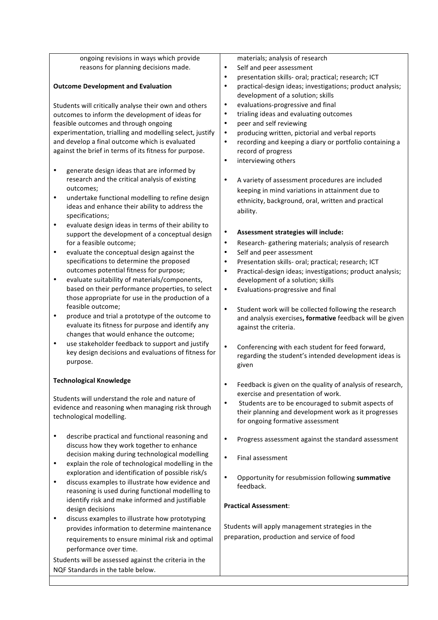| ongoing revisions in ways which provide                                                       | materials; analysis of research                                                                     |  |  |
|-----------------------------------------------------------------------------------------------|-----------------------------------------------------------------------------------------------------|--|--|
| reasons for planning decisions made.                                                          | Self and peer assessment                                                                            |  |  |
|                                                                                               | presentation skills- oral; practical; research; ICT<br>٠<br>$\bullet$                               |  |  |
| <b>Outcome Development and Evaluation</b>                                                     | practical-design ideas; investigations; product analysis;<br>development of a solution; skills      |  |  |
| Students will critically analyse their own and others                                         | evaluations-progressive and final<br>$\bullet$                                                      |  |  |
| outcomes to inform the development of ideas for                                               | trialing ideas and evaluating outcomes<br>$\bullet$                                                 |  |  |
| feasible outcomes and through ongoing                                                         | peer and self reviewing<br>$\bullet$                                                                |  |  |
| experimentation, trialling and modelling select, justify                                      | producing written, pictorial and verbal reports<br>$\bullet$                                        |  |  |
| and develop a final outcome which is evaluated                                                | recording and keeping a diary or portfolio containing a<br>$\bullet$                                |  |  |
| against the brief in terms of its fitness for purpose.                                        | record of progress                                                                                  |  |  |
|                                                                                               | interviewing others<br>$\bullet$                                                                    |  |  |
| generate design ideas that are informed by<br>$\bullet$                                       |                                                                                                     |  |  |
| research and the critical analysis of existing<br>outcomes;                                   | A variety of assessment procedures are included                                                     |  |  |
| undertake functional modelling to refine design<br>$\bullet$                                  | keeping in mind variations in attainment due to                                                     |  |  |
| ideas and enhance their ability to address the                                                | ethnicity, background, oral, written and practical                                                  |  |  |
| specifications;                                                                               | ability.                                                                                            |  |  |
| evaluate design ideas in terms of their ability to<br>$\bullet$                               |                                                                                                     |  |  |
| support the development of a conceptual design                                                | Assessment strategies will include:                                                                 |  |  |
| for a feasible outcome;                                                                       | Research- gathering materials; analysis of research<br>$\bullet$                                    |  |  |
| evaluate the conceptual design against the<br>$\bullet$                                       | Self and peer assessment<br>٠                                                                       |  |  |
| specifications to determine the proposed                                                      | Presentation skills- oral; practical; research; ICT<br>$\bullet$                                    |  |  |
| outcomes potential fitness for purpose;<br>evaluate suitability of materials/components,<br>٠ | Practical-design ideas; investigations; product analysis;<br>٠<br>development of a solution; skills |  |  |
| based on their performance properties, to select                                              | Evaluations-progressive and final<br>$\bullet$                                                      |  |  |
| those appropriate for use in the production of a                                              |                                                                                                     |  |  |
| feasible outcome;                                                                             | Student work will be collected following the research<br>$\bullet$                                  |  |  |
| produce and trial a prototype of the outcome to<br>٠                                          | and analysis exercises, formative feedback will be given                                            |  |  |
| evaluate its fitness for purpose and identify any                                             | against the criteria.                                                                               |  |  |
| changes that would enhance the outcome;                                                       |                                                                                                     |  |  |
| use stakeholder feedback to support and justify<br>$\bullet$                                  | Conferencing with each student for feed forward,                                                    |  |  |
| key design decisions and evaluations of fitness for<br>purpose.                               | regarding the student's intended development ideas is                                               |  |  |
|                                                                                               | given                                                                                               |  |  |
| <b>Technological Knowledge</b>                                                                |                                                                                                     |  |  |
|                                                                                               | Feedback is given on the quality of analysis of research,<br>exercise and presentation of work.     |  |  |
| Students will understand the role and nature of                                               | Students are to be encouraged to submit aspects of<br>$\bullet$                                     |  |  |
| evidence and reasoning when managing risk through                                             | their planning and development work as it progresses                                                |  |  |
| technological modelling.                                                                      | for ongoing formative assessment                                                                    |  |  |
|                                                                                               |                                                                                                     |  |  |
| describe practical and functional reasoning and<br>$\bullet$                                  | Progress assessment against the standard assessment<br>$\bullet$                                    |  |  |
| discuss how they work together to enhance<br>decision making during technological modelling   |                                                                                                     |  |  |
| explain the role of technological modelling in the<br>$\bullet$                               | Final assessment<br>$\bullet$                                                                       |  |  |
| exploration and identification of possible risk/s                                             |                                                                                                     |  |  |
| discuss examples to illustrate how evidence and<br>٠                                          | $\bullet$<br>Opportunity for resubmission following summative                                       |  |  |
| reasoning is used during functional modelling to                                              | feedback.                                                                                           |  |  |
| identify risk and make informed and justifiable                                               |                                                                                                     |  |  |
| design decisions                                                                              | <b>Practical Assessment:</b>                                                                        |  |  |
| discuss examples to illustrate how prototyping<br>٠                                           |                                                                                                     |  |  |
| provides information to determine maintenance                                                 | Students will apply management strategies in the                                                    |  |  |
| requirements to ensure minimal risk and optimal                                               | preparation, production and service of food                                                         |  |  |
| performance over time.                                                                        |                                                                                                     |  |  |
| Students will be assessed against the criteria in the                                         |                                                                                                     |  |  |
| NQF Standards in the table below.                                                             |                                                                                                     |  |  |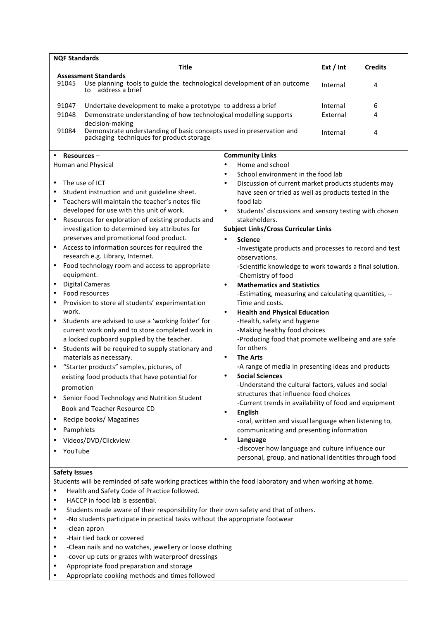| <b>NOF Standards</b>                                                                                                                                                                                                                                                                                                                                                                                                                                                                                                                                                                                                                                                                                                                                                                                                                                                                                                                                                                                                                                                                                                                             |                                                                                                                                                                                                                                                                                                                                                                                                                                                                                                                                                                                                                                                                                                                                                                                                                                                                                                                                                                                                                                                                                                                                                                                                                                                                                                                                                                                                         |                                  |                |
|--------------------------------------------------------------------------------------------------------------------------------------------------------------------------------------------------------------------------------------------------------------------------------------------------------------------------------------------------------------------------------------------------------------------------------------------------------------------------------------------------------------------------------------------------------------------------------------------------------------------------------------------------------------------------------------------------------------------------------------------------------------------------------------------------------------------------------------------------------------------------------------------------------------------------------------------------------------------------------------------------------------------------------------------------------------------------------------------------------------------------------------------------|---------------------------------------------------------------------------------------------------------------------------------------------------------------------------------------------------------------------------------------------------------------------------------------------------------------------------------------------------------------------------------------------------------------------------------------------------------------------------------------------------------------------------------------------------------------------------------------------------------------------------------------------------------------------------------------------------------------------------------------------------------------------------------------------------------------------------------------------------------------------------------------------------------------------------------------------------------------------------------------------------------------------------------------------------------------------------------------------------------------------------------------------------------------------------------------------------------------------------------------------------------------------------------------------------------------------------------------------------------------------------------------------------------|----------------------------------|----------------|
| <b>Title</b>                                                                                                                                                                                                                                                                                                                                                                                                                                                                                                                                                                                                                                                                                                                                                                                                                                                                                                                                                                                                                                                                                                                                     |                                                                                                                                                                                                                                                                                                                                                                                                                                                                                                                                                                                                                                                                                                                                                                                                                                                                                                                                                                                                                                                                                                                                                                                                                                                                                                                                                                                                         | Ext / Int                        | <b>Credits</b> |
| <b>Assessment Standards</b><br>91045<br>Use planning tools to guide the technological development of an outcome<br>to address a brief                                                                                                                                                                                                                                                                                                                                                                                                                                                                                                                                                                                                                                                                                                                                                                                                                                                                                                                                                                                                            |                                                                                                                                                                                                                                                                                                                                                                                                                                                                                                                                                                                                                                                                                                                                                                                                                                                                                                                                                                                                                                                                                                                                                                                                                                                                                                                                                                                                         | Internal                         | 4              |
| Undertake development to make a prototype to address a brief<br>91047<br>91048<br>Demonstrate understanding of how technological modelling supports<br>decision-making<br>Demonstrate understanding of basic concepts used in preservation and<br>91084<br>packaging techniques for product storage<br><b>Community Links</b><br>Resources-                                                                                                                                                                                                                                                                                                                                                                                                                                                                                                                                                                                                                                                                                                                                                                                                      |                                                                                                                                                                                                                                                                                                                                                                                                                                                                                                                                                                                                                                                                                                                                                                                                                                                                                                                                                                                                                                                                                                                                                                                                                                                                                                                                                                                                         | Internal<br>External<br>Internal | 6<br>4<br>4    |
| Human and Physical                                                                                                                                                                                                                                                                                                                                                                                                                                                                                                                                                                                                                                                                                                                                                                                                                                                                                                                                                                                                                                                                                                                               | Home and school<br>٠                                                                                                                                                                                                                                                                                                                                                                                                                                                                                                                                                                                                                                                                                                                                                                                                                                                                                                                                                                                                                                                                                                                                                                                                                                                                                                                                                                                    |                                  |                |
| The use of ICT<br>٠<br>Student instruction and unit guideline sheet.<br>Teachers will maintain the teacher's notes file<br>٠<br>developed for use with this unit of work.<br>Resources for exploration of existing products and<br>$\bullet$<br>investigation to determined key attributes for<br>preserves and promotional food product.<br>Access to information sources for required the<br>research e.g. Library, Internet.<br>Food technology room and access to appropriate<br>equipment.<br><b>Digital Cameras</b><br>٠<br>Food resources<br>٠<br>Provision to store all students' experimentation<br>work.<br>Students are advised to use a 'working folder' for<br>٠<br>current work only and to store completed work in<br>a locked cupboard supplied by the teacher.<br>Students will be required to supply stationary and<br>٠<br>materials as necessary.<br>"Starter products" samples, pictures, of<br>existing food products that have potential for<br>promotion<br>Senior Food Technology and Nutrition Student<br>Book and Teacher Resource CD<br>Recipe books/ Magazines<br>٠<br>Pamphlets<br>Videos/DVD/Clickview<br>YouTube | School environment in the food lab<br>$\bullet$<br>Discussion of current market products students may<br>٠<br>have seen or tried as well as products tested in the<br>food lab<br>$\bullet$<br>Students' discussions and sensory testing with chosen<br>stakeholders.<br><b>Subject Links/Cross Curricular Links</b><br><b>Science</b><br>$\bullet$<br>-Investigate products and processes to record and test<br>observations.<br>-Scientific knowledge to work towards a final solution.<br>-Chemistry of food<br><b>Mathematics and Statistics</b><br>$\bullet$<br>-Estimating, measuring and calculating quantities, --<br>Time and costs.<br><b>Health and Physical Education</b><br>$\bullet$<br>-Health, safety and hygiene<br>-Making healthy food choices<br>-Producing food that promote wellbeing and are safe<br>for others<br><b>The Arts</b><br>$\bullet$<br>-A range of media in presenting ideas and products<br><b>Social Sciences</b><br>$\bullet$<br>-Understand the cultural factors, values and social<br>structures that influence food choices<br>-Current trends in availability of food and equipment<br><b>English</b><br>$\bullet$<br>-oral, written and visual language when listening to,<br>communicating and presenting information<br>Language<br>$\bullet$<br>-discover how language and culture influence our<br>personal, group, and national identities through food |                                  |                |

## **Safety Issues**

Students will be reminded of safe working practices within the food laboratory and when working at home.

- Health and Safety Code of Practice followed.
- HACCP in food lab is essential.
- Students made aware of their responsibility for their own safety and that of others.
- -No students participate in practical tasks without the appropriate footwear
- - clean apron
- -Hair tied back or covered
- -Clean nails and no watches, jewellery or loose clothing
- - cover up cuts or grazes with waterproof dressings
- Appropriate food preparation and storage
- Appropriate cooking methods and times followed